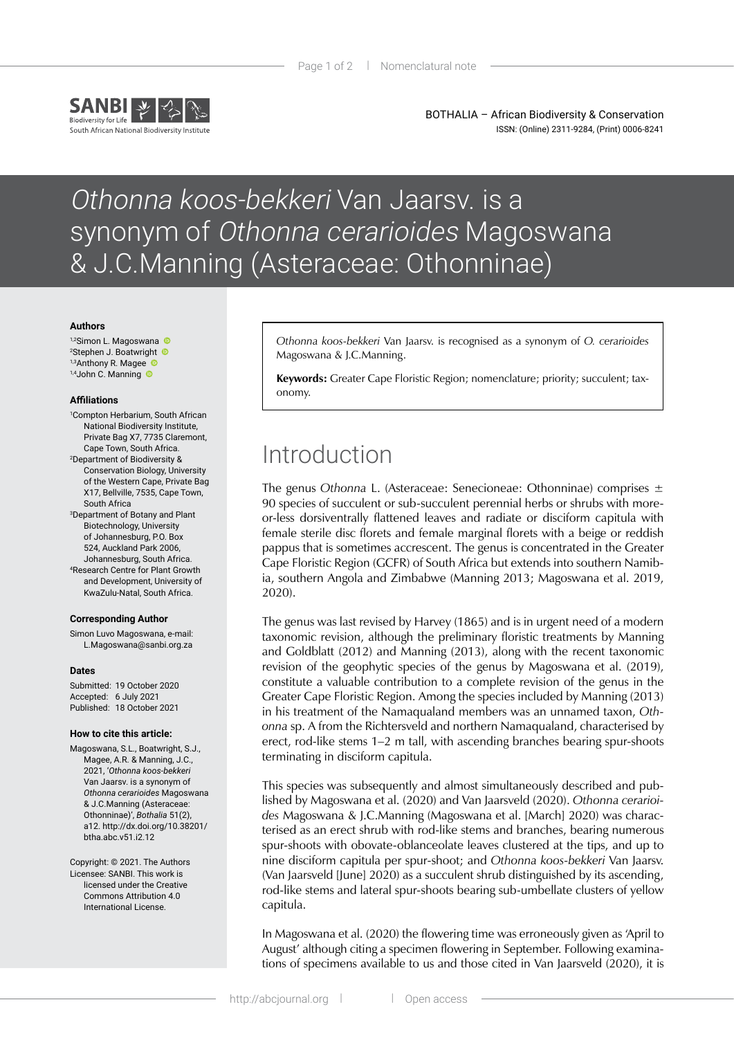

BOTHALIA – African Biodiversity & Conservation ISSN: (Online) 2311-9284, (Print) 0006-8241

# Othonna koos-bekkeri Van Jaarsv. is a synonym of Othonna cerarioides Magoswana & J.C.Manning (Asteraceae: Othonninae)

#### **Authors**

1,2SimonL. Magoswana 2 Stephen J. Boatwright 1,3Anthony R. Magee  $1,4$ JohnC. Manning  $\bullet$ 

#### **Affiliations**

- 1 Compton Herbarium, South African National Biodiversity Institute, Private Bag X7, 7735 Claremont, Cape Town, South Africa. 2 Department of Biodiversity & Conservation Biology, University
- of the Western Cape, Private Bag X17, Bellville, 7535, Cape Town, South Africa
- 3 Department of Botany and Plant Biotechnology, University of Johannesburg, P.O. Box 524, Auckland Park 2006, Johannesburg, South Africa. 4 Research Centre for Plant Growth and Development, University of KwaZulu-Natal, South Africa.

#### **Corresponding Author**

Simon Luvo Magoswana, e-mail: L.Magoswana@sanbi.org.za

### **Dates**

Submitted: 19 October 2020 Accepted: 6 July 2021 Published: 18 October 2021

### **How to cite this article:**

Magoswana, S.L., Boatwright, S.J., Magee, A.R. & Manning, J.C., 2021, '*Othonna koos-bekkeri* Van Jaarsv. is a synonym of *Othonna cerarioides* Magoswana & J.C.Manning (Asteraceae: Othonninae)', *Bothalia* 51(2), a12. [http://dx.doi.org/10.38201/](http://dx.doi.org/10.38201/btha.abc.v51.i2) [btha.abc.v51.i2.](http://dx.doi.org/10.38201/btha.abc.v51.i2)12

Copyright: © 2021. The Authors Licensee: SANBI. This work is licensed under the Creative Commons Attribution 4.0 International License.

*Othonna koos-bekkeri* Van Jaarsv. is recognised as a synonym of *O. cerarioides* Magoswana & J.C.Manning.

**Keywords:** Greater Cape Floristic Region; nomenclature; priority; succulent; taxonomy.

### Introduction

The genus *Othonna* L. (Asteraceae: Senecioneae: Othonninae) comprises ± 90 species of succulent or sub-succulent perennial herbs or shrubs with moreor-less dorsiventrally flattened leaves and radiate or disciform capitula with female sterile disc florets and female marginal florets with a beige or reddish pappus that is sometimes accrescent. The genus is concentrated in the Greater Cape Floristic Region (GCFR) of South Africa but extends into southern Namibia, southern Angola and Zimbabwe (Manning 2013; Magoswana et al. 2019, 2020).

The genus was last revised by Harvey (1865) and is in urgent need of a modern taxonomic revision, although the preliminary floristic treatments by Manning and Goldblatt (2012) and Manning (2013), along with the recent taxonomic revision of the geophytic species of the genus by Magoswana et al. (2019), constitute a valuable contribution to a complete revision of the genus in the Greater Cape Floristic Region. Among the species included by Manning (2013) in his treatment of the Namaqualand members was an unnamed taxon, *Othonna* sp. A from the Richtersveld and northern Namaqualand, characterised by erect, rod-like stems 1–2 m tall, with ascending branches bearing spur-shoots terminating in disciform capitula.

This species was subsequently and almost simultaneously described and published by Magoswana et al. (2020) and Van Jaarsveld (2020). *Othonna cerarioides* Magoswana & J.C.Manning (Magoswana et al. [March] 2020) was characterised as an erect shrub with rod-like stems and branches, bearing numerous spur-shoots with obovate-oblanceolate leaves clustered at the tips, and up to nine disciform capitula per spur-shoot; and *Othonna koos-bekkeri* Van Jaarsv. (Van Jaarsveld [June] 2020) as a succulent shrub distinguished by its ascending, rod-like stems and lateral spur-shoots bearing sub-umbellate clusters of yellow capitula.

In Magoswana et al. (2020) the flowering time was erroneously given as 'April to August' although citing a specimen flowering in September. Following examinations of specimens available to us and those cited in Van Jaarsveld (2020), it is